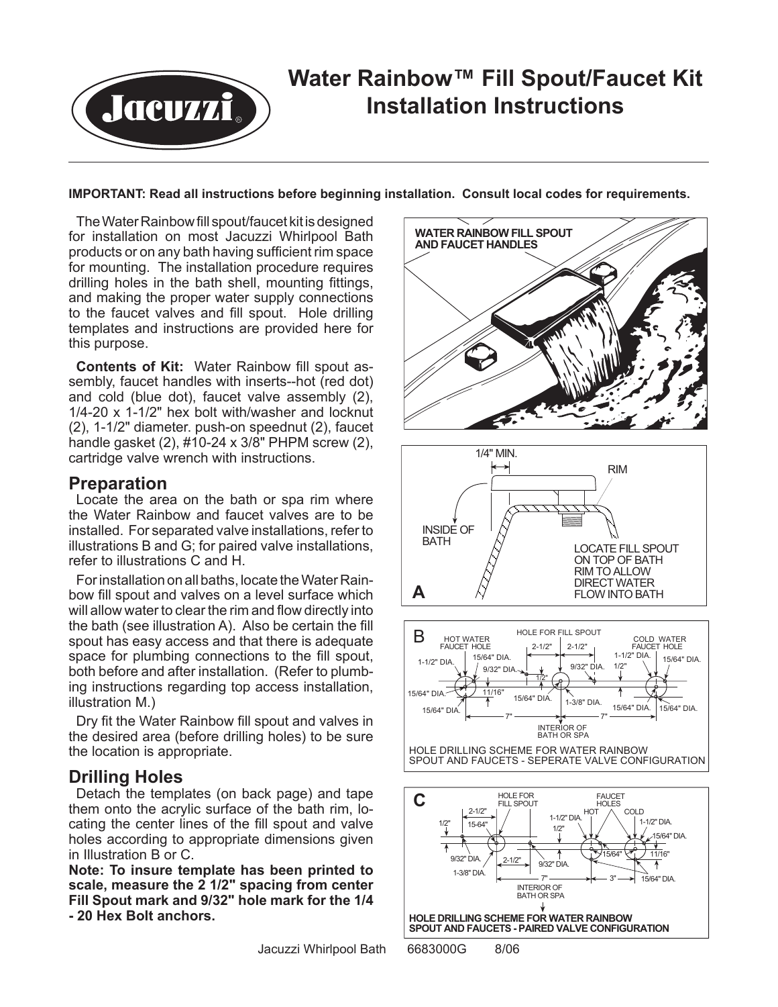

#### **IMPORTANT: Read all instructions before beginning installation. Consult local codes for requirements.**

The Water Rainbow fill spout/faucet kit is designed for installation on most Jacuzzi Whirlpool Bath products or on any bath having sufficient rim space for mounting. The installation procedure requires drilling holes in the bath shell, mounting fittings, and making the proper water supply connections to the faucet valves and fill spout. Hole drilling templates and instructions are provided here for this purpose.

**Contents of Kit:** Water Rainbow fill spout assembly, faucet handles with inserts--hot (red dot) and cold (blue dot), faucet valve assembly (2), 1/4-20 x 1-1/2" hex bolt with/washer and locknut (2), 1-1/2" diameter. push-on speednut (2), faucet handle gasket (2), #10-24 x 3/8" PHPM screw (2), cartridge valve wrench with instructions.

### **Preparation**

Locate the area on the bath or spa rim where the Water Rainbow and faucet valves are to be installed. For separated valve installations, refer to illustrations B and G; for paired valve installations, refer to illustrations C and H.

For installation on all baths, locate the Water Rainbow fill spout and valves on a level surface which will allow water to clear the rim and flow directly into the bath (see illustration A). Also be certain the fill spout has easy access and that there is adequate space for plumbing connections to the fill spout, both before and after installation. (Refer to plumbing instructions regarding top access installation, illustration M.)

Dry fit the Water Rainbow fill spout and valves in the desired area (before drilling holes) to be sure the location is appropriate.

## **Drilling Holes**

Detach the templates (on back page) and tape them onto the acrylic surface of the bath rim, locating the center lines of the fill spout and valve holes according to appropriate dimensions given in Illustration B or C.

**Note: To insure template has been printed to scale, measure the 2 1/2" spacing from center Fill Spout mark and 9/32" hole mark for the 1/4 - 20 Hex Bolt anchors.**



Jacuzzi Whirlpool Bath 6683000G 8/06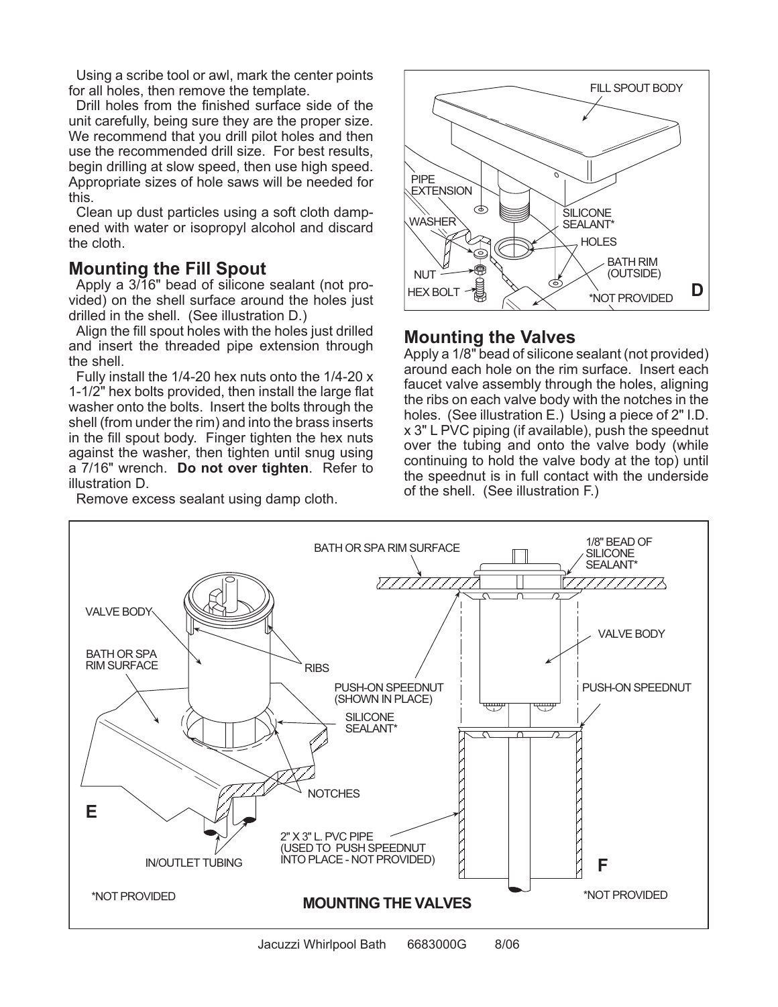Using a scribe tool or awl, mark the center points for all holes, then remove the template.

Drill holes from the finished surface side of the unit carefully, being sure they are the proper size. We recommend that you drill pilot holes and then use the recommended drill size. For best results, begin drilling at slow speed, then use high speed. Appropriate sizes of hole saws will be needed for this.

Clean up dust particles using a soft cloth dampened with water or isopropyl alcohol and discard the cloth.

## **Mounting the Fill Spout**

Apply a 3/16" bead of silicone sealant (not provided) on the shell surface around the holes just drilled in the shell. (See illustration D.)

Align the fill spout holes with the holes just drilled and insert the threaded pipe extension through the shell.

Fully install the 1/4-20 hex nuts onto the 1/4-20 x 1-1/2" hex bolts provided, then install the large flat washer onto the bolts. Insert the bolts through the shell (from under the rim) and into the brass inserts in the fill spout body. Finger tighten the hex nuts against the washer, then tighten until snug using a 7/16" wrench. **Do not over tighten**. Refer to illustration D.

Remove excess sealant using damp cloth.



# **Mounting the Valves**

Apply a 1/8" bead of silicone sealant (not provided) around each hole on the rim surface. Insert each faucet valve assembly through the holes, aligning the ribs on each valve body with the notches in the holes. (See illustration E.) Using a piece of 2" I.D. x 3" L PVC piping (if available), push the speednut over the tubing and onto the valve body (while continuing to hold the valve body at the top) until the speednut is in full contact with the underside of the shell. (See illustration F.)

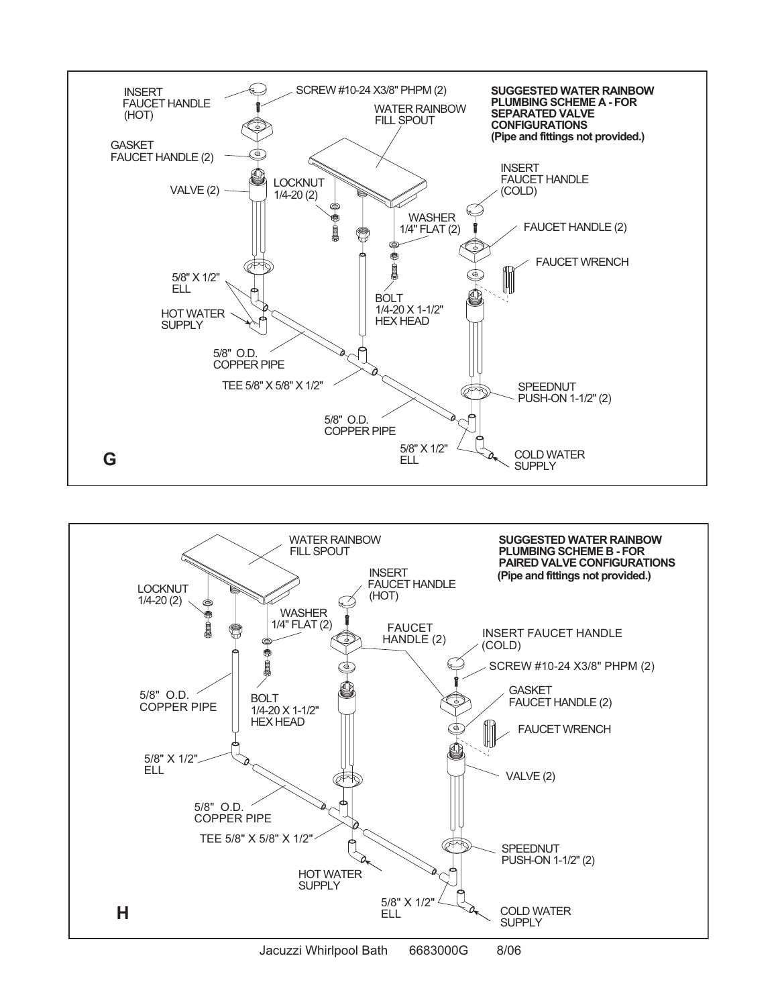



Jacuzzi Whirlpool Bath 6683000G 8/06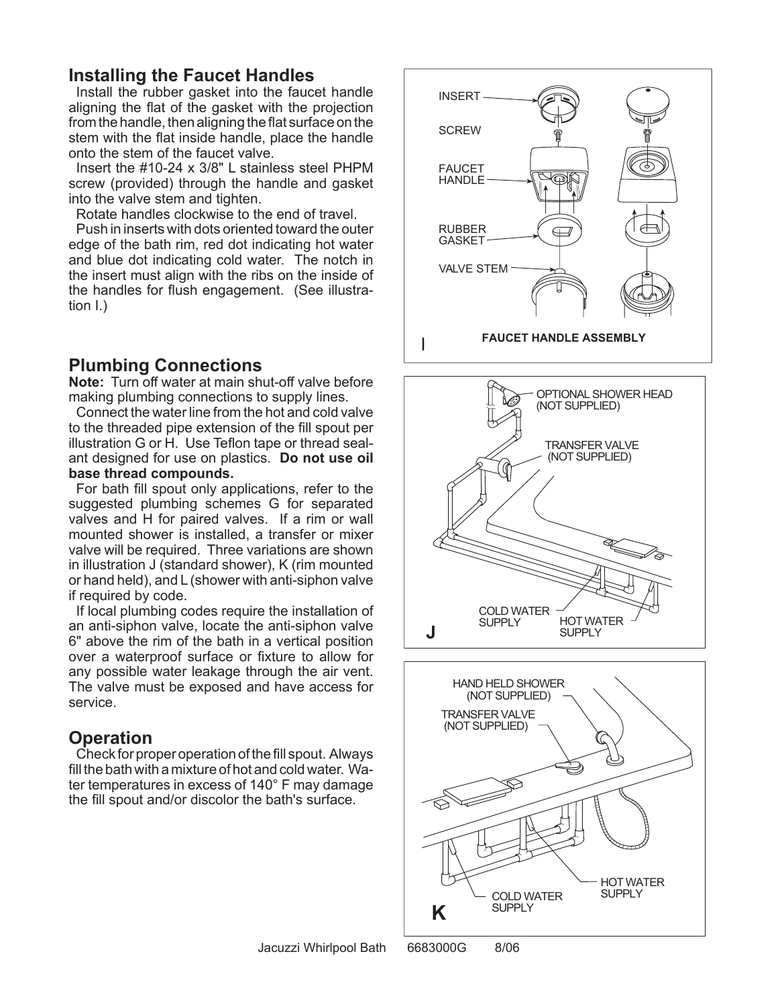# **Installing the Faucet Handles**

Install the rubber gasket into the faucet handle aligning the flat of the gasket with the projection from the handle, then aligning the flat surface on the stem with the flat inside handle, place the handle onto the stem of the faucet valve.

Insert the #10-24 x 3/8" L stainless steel PHPM screw (provided) through the handle and gasket into the valve stem and tighten.

Rotate handles clockwise to the end of travel.

Push in inserts with dots oriented toward the outer edge of the bath rim, red dot indicating hot water and blue dot indicating cold water. The notch in the insert must align with the ribs on the inside of the handles for flush engagement. (See illustration I.)

# **Plumbing Connections**

**Note:** Turn off water at main shut-off valve before making plumbing connections to supply lines.

Connect the water line from the hot and cold valve to the threaded pipe extension of the fill spout per illustration G or H. Use Teflon tape or thread sealant designed for use on plastics. **Do not use oil base thread compounds.** 

For bath fill spout only applications, refer to the suggested plumbing schemes G for separated valves and H for paired valves. If a rim or wall mounted shower is installed, a transfer or mixer valve will be required. Three variations are shown in illustration J (standard shower), K (rim mounted or hand held), and L (shower with anti-siphon valve if required by code.

If local plumbing codes require the installation of an anti-siphon valve, locate the anti-siphon valve 6" above the rim of the bath in a vertical position over a waterproof surface or fixture to allow for any possible water leakage through the air vent. The valve must be exposed and have access for service.

# **Operation**

Check for proper operation of the fill spout. Always fill the bath with a mixture of hot and cold water. Water temperatures in excess of 140° F may damage the fill spout and/or discolor the bath's surface.





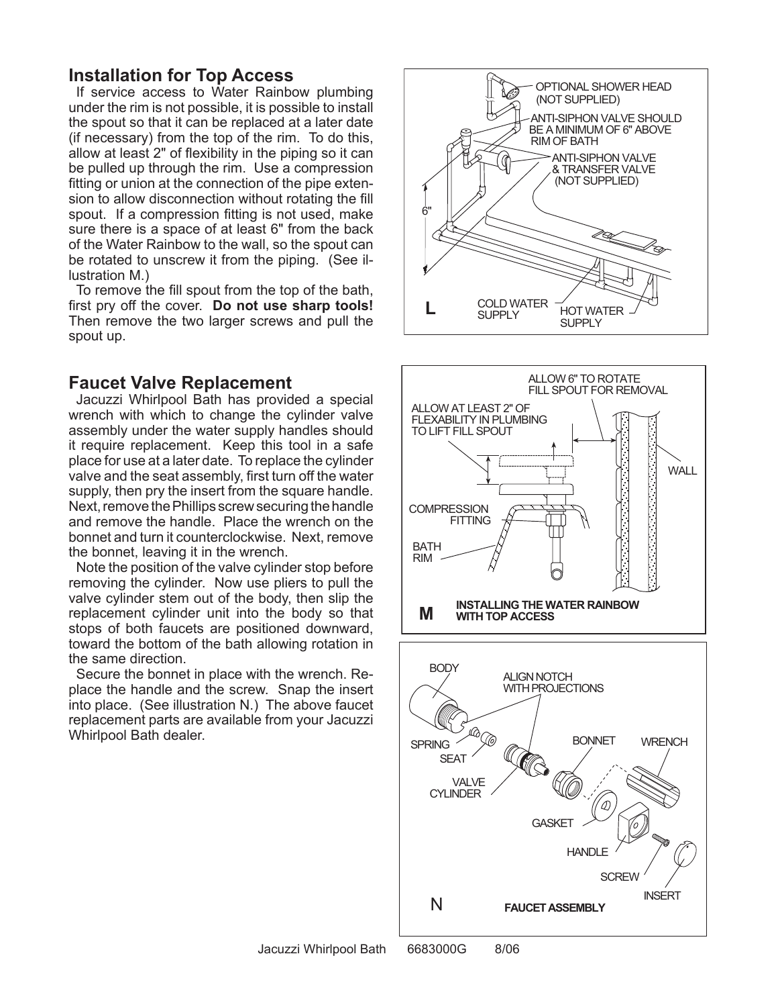## **Installation for Top Access**

If service access to Water Rainbow plumbing under the rim is not possible, it is possible to install the spout so that it can be replaced at a later date (if necessary) from the top of the rim. To do this, allow at least 2" of flexibility in the piping so it can be pulled up through the rim. Use a compression fitting or union at the connection of the pipe extension to allow disconnection without rotating the fill spout. If a compression fitting is not used, make sure there is a space of at least 6" from the back of the Water Rainbow to the wall, so the spout can be rotated to unscrew it from the piping. (See illustration M.)

To remove the fill spout from the top of the bath, first pry off the cover. **Do not use sharp tools!**  Then remove the two larger screws and pull the spout up.

## **Faucet Valve Replacement**

Jacuzzi Whirlpool Bath has provided a special wrench with which to change the cylinder valve assembly under the water supply handles should it require replacement. Keep this tool in a safe place for use at a later date. To replace the cylinder valve and the seat assembly, first turn off the water supply, then pry the insert from the square handle. Next, remove the Phillips screw securing the handle and remove the handle. Place the wrench on the bonnet and turn it counterclockwise. Next, remove the bonnet, leaving it in the wrench.

Note the position of the valve cylinder stop before removing the cylinder. Now use pliers to pull the valve cylinder stem out of the body, then slip the replacement cylinder unit into the body so that stops of both faucets are positioned downward, toward the bottom of the bath allowing rotation in the same direction.

Secure the bonnet in place with the wrench. Replace the handle and the screw. Snap the insert into place. (See illustration N.) The above faucet replacement parts are available from your Jacuzzi Whirlpool Bath dealer.



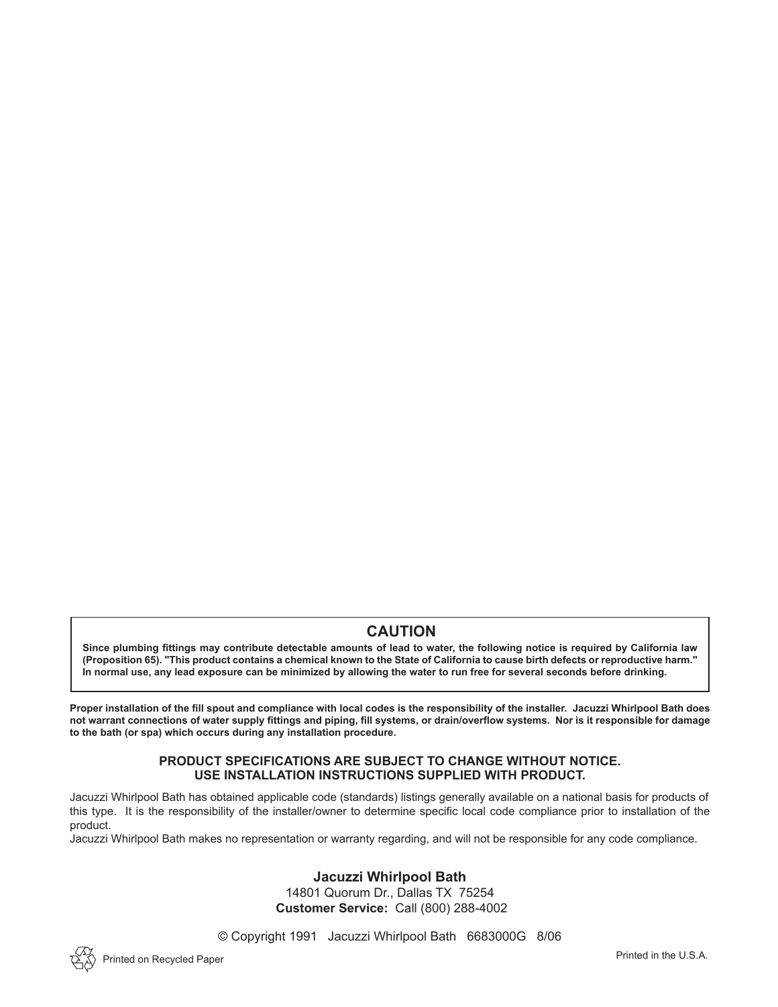## **CAUTION**

**Since plumbing fittings may contribute detectable amounts of lead to water, the following notice is required by California law (Proposition 65). "This product contains a chemical known to the State of California to cause birth defects or reproductive harm." In normal use, any lead exposure can be minimized by allowing the water to run free for several seconds before drinking.**

**Proper installation of the fill spout and compliance with local codes is the responsibility of the installer. Jacuzzi Whirlpool Bath does not warrant connections of water supply fittings and piping, fill systems, or drain/overflow systems. Nor is it responsible for damage to the bath (or spa) which occurs during any installation procedure.**

#### **PRODUCT SPECIFICATIONS ARE SUBJECT TO CHANGE WITHOUT NOTICE. USE INSTALLATION INSTRUCTIONS SUPPLIED WITH PRODUCT.**

Jacuzzi Whirlpool Bath has obtained applicable code (standards) listings generally available on a national basis for products of this type. It is the responsibility of the installer/owner to determine specific local code compliance prior to installation of the product.

Jacuzzi Whirlpool Bath makes no representation or warranty regarding, and will not be responsible for any code compliance.

#### **Jacuzzi Whirlpool Bath**

14801 Quorum Dr., Dallas TX 75254 **Customer Service:** Call (800) 288-4002

© Copyright 1991 Jacuzzi Whirlpool Bath 6683000G 8/06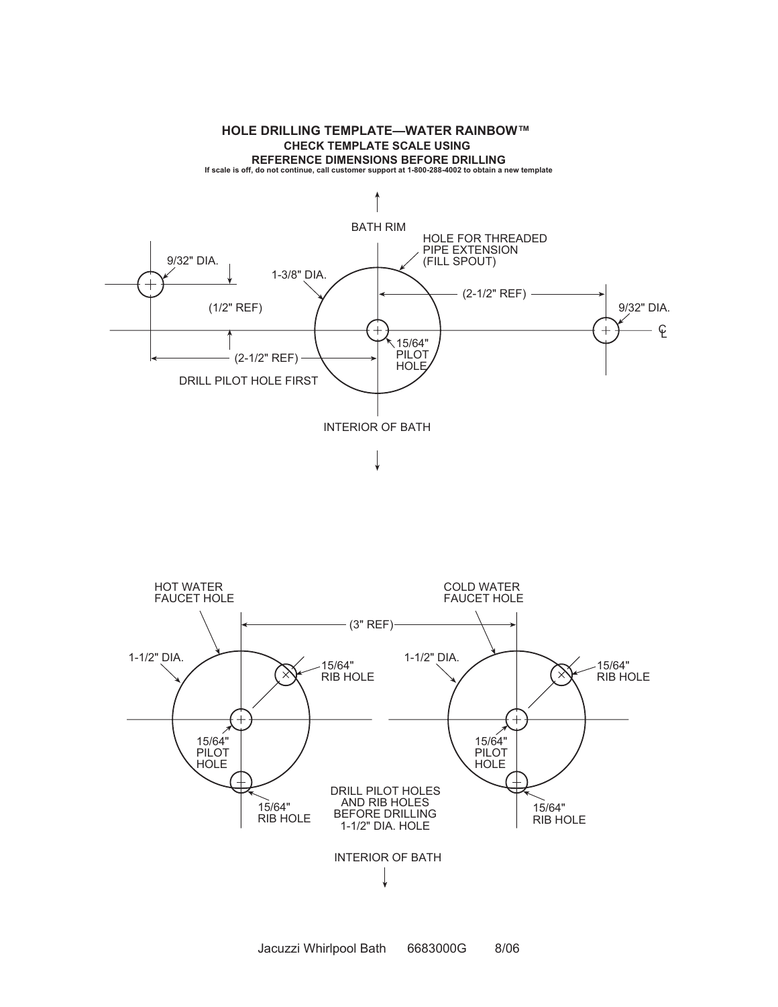